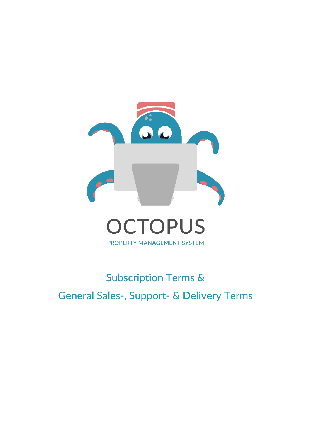

# Subscription Terms & General Sales-, Support- & Delivery Terms

PROPERTY MANAGEMENT SYSTEM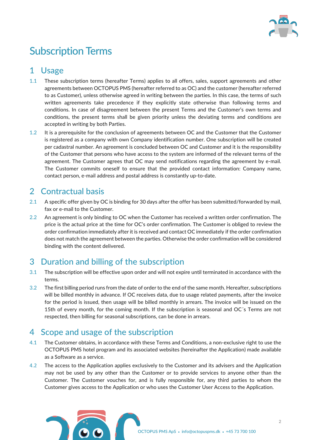

# Subscription Terms

# 1 Usage

- 1.1 These subscription terms (hereafter Terms) applies to all offers, sales, support agreements and other agreements between OCTOPUS PMS (hereafter referred to as OC) and the customer (hereafter referred to as Customer), unless otherwise agreed in writing between the parties. In this case, the terms of such written agreements take precedence if they explicitly state otherwise than following terms and conditions. In case of disagreement between the present Terms and the Customer's own terms and conditions, the present terms shall be given priority unless the deviating terms and conditions are accepted in writing by both Parties.
- 1.2 It is a prerequisite for the conclusion of agreements between OC and the Customer that the Customer is registered as a company with own Company identification number. One subscription will be created per cadastral number. An agreement is concluded between OC and Customer and it is the responsibility of the Customer that persons who have access to the system are informed of the relevant terms of the agreement. The Customer agrees that OC may send notifications regarding the agreement by e-mail. The Customer commits oneself to ensure that the provided contact information: Company name, contact person, e-mail address and postal address is constantly up-to-date.

# 2 Contractual basis

- 2.1 A specific offer given by OC is binding for 30 days after the offer has been submitted/forwarded by mail, fax or e-mail to the Customer.
- 2.2 An agreement is only binding to OC when the Customer has received a written order confirmation. The price is the actual price at the time for OC's order confirmation. The Customer is obliged to review the order confirmation immediately after it is received and contact OC immediately if the order confirmation does not match the agreement between the parties. Otherwise the order confirmation will be considered binding with the content delivered.

# 3 Duration and billing of the subscription

- 3.1 The subscription will be effective upon order and will not expire until terminated in accordance with the terms.
- 3.2 The first billing period runs from the date of order to the end of the same month. Hereafter, subscriptions will be billed monthly in advance. If OC receives data, due to usage related payments, after the invoice for the period is issued, then usage will be billed monthly in arrears. The invoice will be issued on the 15th of every month, for the coming month. If the subscription is seasonal and OC´s Terms are not respected, then billing for seasonal subscriptions, can be done in arrears.

# 4 Scope and usage of the subscription

- 4.1 The Customer obtains, in accordance with these Terms and Conditions, a non-exclusive right to use the OCTOPUS PMS hotel program and its associated websites (hereinafter the Application) made available as a Software as a service.
- 4.2 The access to the Application applies exclusively to the Customer and its advisers and the Application may not be used by any other than the Customer or to provide services to anyone other than the Customer. The Customer vouches for, and is fully responsible for, any third parties to whom the Customer gives access to the Application or who uses the Customer User Access to the Application.

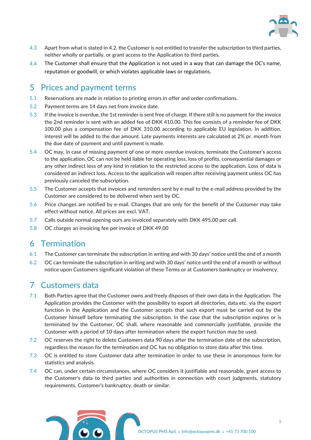

- 4.3 Apart from what is stated in 4.2, the Customer is not entitled to transfer the subscription to third parties, neither wholly or partially, or grant access to the Application to third parties.
- 4.4 The Customer shall ensure that the Application is not used in a way that can damage the OC's name, reputation or goodwill, or which violates applicable laws or regulations.

#### 5 Prices and payment terms

- 5.1 Reservations are made in relation to printing errors in offer and order confirmations.
- 5.2 Payment terms are 14 days net from invoice date.
- 5.3 If the invoice is overdue, the 1st reminder is sent free of charge. If there still is no payment for the invoice the 2nd reminder is sent with an added fee of DKK 410.00. This fee consists of a reminder fee of DKK 100.00 plus a compensation fee of DKK 310.00 according to applicable EU legislation. In addition, interest will be added to the due amount. Late payments interests are calculated at 2% pr. month from the due date of payment and until payment is made.
- 5.4 OC may, in case of missing payment of one or more overdue invoices, terminate the Customer's access to the application. OC can not be held liable for operating loss, loss of profits, consequential damages or any other indirect loss of any kind in relation to the restricted access to the application. Loss of data is considered an indirect loss. Access to the application will reopen after receiving payment unless OC has previously canceled the subscription.
- 5.5 The Customer accepts that invoices and reminders sent by e-mail to the e-mail address provided by the Customer are considered to be delivered when sent by OC.
- 5.6 Price changes are notified by e-mail. Changes that are only for the benefit of the Customer may take effect without notice. All prices are excl. VAT.
- 5.7 Calls outside normal opening ours are invoiced separately with DKK 495.00 per call.
- 5.8 OC charges an invoicing fee per invoice of DKK 49.00

#### 6 Termination

- 6.1 The Customer can terminate the subscription in writing and with 30 days' notice until the end of a month
- 6.2 OC can terminate the subscription in writing and with 30 days' notice until the end of a month or without notice upon Customers significant violation of these Terms or at Customers bankruptcy or insolvency.

#### 7 Customers data

- 7.1 Both Parties agree that the Customer owns and freely disposes of their own data in the Application. The Application provides the Customer with the possibility to export all directories, data etc. via the export function in the Application and the Customer accepts that such export must be carried out by the Customer himself before terminating the subscription. In the case that the subscription expires or is terminated by the Customer, OC shall, where reasonable and commercially justifiable, provide the Customer with a period of 10 days after termination where the export function may be used.
- 7.2 OC reserves the right to delete Customers data 90 days after the termination date of the subscription, regardless the reason for the termination and OC has no obligation to store data after this time.
- 7.3 OC is entitled to store Customer data after termination in order to use these in anonymous form for statistics and analysis.
- 7.4 OC can, under certain circumstances, where OC considers it justifiable and reasonable, grant access to the Customer's data to third parties and authorities in connection with court judgments, statutory requirements, Customer's bankruptcy, death or similar.

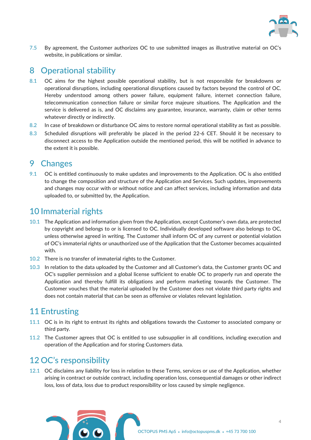

7.5 By agreement, the Customer authorizes OC to use submitted images as illustrative material on OC's website, in publications or similar.

# 8 Operational stability

- 8.1 OC aims for the highest possible operational stability, but is not responsible for breakdowns or operational disruptions, including operational disruptions caused by factors beyond the control of OC. Hereby understood among others power failure, equipment failure, internet connection failure, telecommunication connection failure or similar force majeure situations. The Application and the service is delivered as is, and OC disclaims any guarantee, insurance, warranty, claim or other terms whatever directly or indirectly.
- 8.2 In case of breakdown or disturbance OC aims to restore normal operational stability as fast as possible.
- 8.3 Scheduled disruptions will preferably be placed in the period 22-6 CET. Should it be necessary to disconnect access to the Application outside the mentioned period, this will be notified in advance to the extent it is possible.

#### 9 Changes

9.1 OC is entitled continuously to make updates and improvements to the Application. OC is also entitled to change the composition and structure of the Application and Services. Such updates, improvements and changes may occur with or without notice and can affect services, including information and data uploaded to, or submitted by, the Application.

# 10 Immaterial rights

- 10.1 The Application and information given from the Application, except Customer's own data, are protected by copyright and belongs to or is licensed to OC. Individually developed software also belongs to OC, unless otherwise agreed in writing. The Customer shall inform OC of any current or potential violation of OC's immaterial rights or unauthorized use of the Application that the Customer becomes acquainted with.
- 10.2 There is no transfer of immaterial rights to the Customer.
- 10.3 In relation to the data uploaded by the Customer and all Customer's data, the Customer grants OC and OC's supplier permission and a global license sufficient to enable OC to properly run and operate the Application and thereby fulfill its obligations and perform marketing towards the Customer. The Customer vouches that the material uploaded by the Customer does not violate third party rights and does not contain material that can be seen as offensive or violates relevant legislation.

#### 11 Entrusting

- 11.1 OC is in its right to entrust its rights and obligations towards the Customer to associated company or third party.
- 11.2 The Customer agrees that OC is entitled to use subsupplier in all conditions, including execution and operation of the Application and for storing Customers data.

# 12 OC's responsibility

12.1 OC disclaims any liability for loss in relation to these Terms, services or use of the Application, whether arising in contract or outside contract, including operation loss, consequential damages or other indirect loss, loss of data, loss due to product responsibility or loss caused by simple negligence.

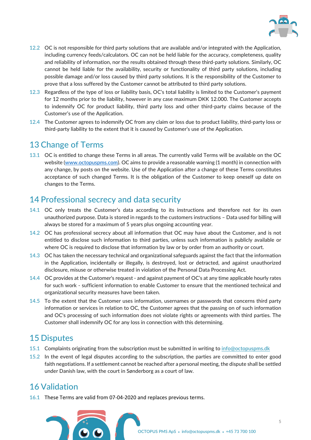

- 12.2 OC is not responsible for third party solutions that are available and/or integrated with the Application, including currency feeds/calculators. OC can not be held liable for the accuracy, completeness, quality and reliability of information, nor the results obtained through these third-party solutions. Similarly, OC cannot be held liable for the availability, security or functionality of third party solutions, including possible damage and/or loss caused by third party solutions. It is the responsibility of the Customer to prove that a loss suffered by the Customer cannot be attributed to third party solutions.
- 12.3 Regardless of the type of loss or liability basis, OC's total liability is limited to the Customer's payment for 12 months prior to the liability, however in any case maximum DKK 12.000. The Customer accepts to indemnify OC for product liability, third party loss and other third-party claims because of the Customer's use of the Application.
- 12.4 The Customer agrees to indemnify OC from any claim or loss due to product liability, third-party loss or third-party liability to the extent that it is caused by Customer's use of the Application.

# 13 Change of Terms

13.1 OC is entitled to change these Terms in all areas. The currently valid Terms will be available on the OC website [\(www.octopuspms.com\)](http://www.octopuspms.com/). OC aims to provide a reasonable warning (1 month) in connection with any change, by posts on the website. Use of the Application after a change of these Terms constitutes acceptance of such changed Terms. It is the obligation of the Customer to keep oneself up date on changes to the Terms.

# 14 Professional secrecy and data security

- 14.1 OC only treats the Customer's data according to its instructions and therefore not for its own unauthorized purpose. Data is stored in regards to the customers instructions – Data used for billing will always be stored for a maximum of 5 years plus ongoing accounting year.
- 14.2 OC has professional secrecy about all information that OC may have about the Customer, and is not entitled to disclose such information to third parties, unless such information is publicly available or where OC is required to disclose that information by law or by order from an authority or court.
- 14.3 OC has taken the necessary technical and organizational safeguards against the fact that the information in the Application, incidentally or illegally, is destroyed, lost or detracted, and against unauthorized disclosure, misuse or otherwise treated in violation of the Personal Data Processing Act.
- 14.4 OC provides at the Customer's request and against payment of OC's at any time applicable hourly rates for such work - sufficient information to enable Customer to ensure that the mentioned technical and organizational security measures have been taken.
- 14.5 To the extent that the Customer uses information, usernames or passwords that concerns third party information or services in relation to OC, the Customer agrees that the passing on of such information and OC's processing of such information does not violate rights or agreements with third parties. The Customer shall indemnify OC for any loss in connection with this determining.

#### 15 Disputes

- 15.1 Complaints originating from the subscription must be submitted in writing to [info@octopuspms.dk](mailto:info@octopuspms.dk)
- 15.2 In the event of legal disputes according to the subscription, the parties are committed to enter good faith negotiations. If a settlement cannot be reached after a personal meeting, the dispute shall be settled under Danish law, with the court in Sønderborg as a court of law.

# 16 Validation

16.1 These Terms are valid from 07-04-2020 and replaces previous terms.

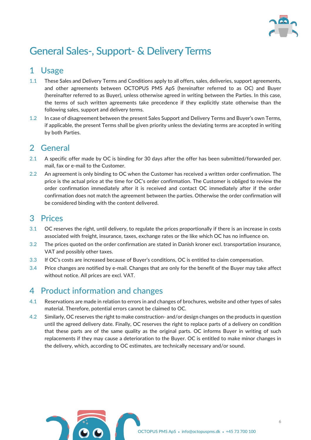

# General Sales-, Support- & Delivery Terms

# 1 Usage

- 1.1 These Sales and Delivery Terms and Conditions apply to all offers, sales, deliveries, support agreements, and other agreements between OCTOPUS PMS ApS (hereinafter referred to as OC) and Buyer (hereinafter referred to as Buyer), unless otherwise agreed in writing between the Parties. In this case, the terms of such written agreements take precedence if they explicitly state otherwise than the following sales, support and delivery terms.
- 1.2 In case of disagreement between the present Sales Support and Delivery Terms and Buyer's own Terms, if applicable, the present Terms shall be given priority unless the deviating terms are accepted in writing by both Parties.

#### 2 General

- 2.1 A specific offer made by OC is binding for 30 days after the offer has been submitted/forwarded per. mail, fax or e-mail to the Customer.
- 2.2 An agreement is only binding to OC when the Customer has received a written order confirmation. The price is the actual price at the time for OC's order confirmation. The Customer is obliged to review the order confirmation immediately after it is received and contact OC immediately after if the order confirmation does not match the agreement between the parties. Otherwise the order confirmation will be considered binding with the content delivered.

#### 3 Prices

- 3.1 OC reserves the right, until delivery, to regulate the prices proportionally if there is an increase in costs associated with freight, insurance, taxes, exchange rates or the like which OC has no influence on.
- 3.2 The prices quoted on the order confirmation are stated in Danish kroner excl. transportation insurance, VAT and possibly other taxes.
- 3.3 If OC's costs are increased because of Buyer's conditions, OC is entitled to claim compensation.
- 3.4 Price changes are notified by e-mail. Changes that are only for the benefit of the Buyer may take affect without notice. All prices are excl. VAT.

# 4 Product information and changes

- 4.1 Reservations are made in relation to errors in and changes of brochures, website and other types of sales material. Therefore, potential errors cannot be claimed to OC.
- 4.2 Similarly, OC reserves the right to make construction- and/or design changes on the products in question until the agreed delivery date. Finally, OC reserves the right to replace parts of a delivery on condition that these parts are of the same quality as the original parts. OC informs Buyer in writing of such replacements if they may cause a deterioration to the Buyer. OC is entitled to make minor changes in the delivery, which, according to OC estimates, are technically necessary and/or sound.

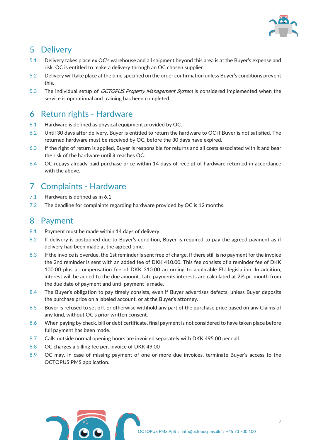

# 5 Delivery

- 5.1 Delivery takes place ex OC's warehouse and all shipment beyond this area is at the Buyer's expense and risk. OC is entitled to make a delivery through an OC chosen supplier.
- 5.2 Delivery will take place at the time specified on the order confirmation unless Buyer's conditions prevent this.
- 5.3 The individual setup of *OCTOPUS Property Management System* is considered implemented when the service is operational and training has been completed.

#### 6 Return rights - Hardware

- 6.1 Hardware is defined as physical equipment provided by OC.
- 6.2 Until 30 days after delivery, Buyer is entitled to return the hardware to OC if Buyer is not satisfied. The returned hardware must be received by OC, before the 30 days have expired.
- 6.3 If the right of return is applied, Buyer is responsible for returns and all costs associated with it and bear the risk of the hardware until it reaches OC.
- 6.4 OC repays already paid purchase price within 14 days of receipt of hardware returned in accordance with the above.

# 7 Complaints - Hardware

- 7.1 Hardware is defined as in 6.1.
- 7.2 The deadline for complaints regarding hardware provided by OC is 12 months.

#### 8 Payment

- 8.1 Payment must be made within 14 days of delivery.
- 8.2 If delivery is postponed due to Buyer's condition, Buyer is required to pay the agreed payment as if delivery had been made at the agreed time.
- 8.3 If the invoice is overdue, the 1st reminder is sent free of charge. If there still is no payment for the invoice the 2nd reminder is sent with an added fee of DKK 410.00. This fee consists of a reminder fee of DKK 100.00 plus a compensation fee of DKK 310.00 according to applicable EU legislation. In addition, interest will be added to the due amount. Late payments interests are calculated at 2% pr. month from the due date of payment and until payment is made.
- 8.4 The Buyer's obligation to pay timely consists, even if Buyer advertises defects, unless Buyer deposits the purchase price on a labeled account, or at the Buyer's attorney.
- 8.5 Buyer is refused to set off, or otherwise withhold any part of the purchase price based on any Claims of any kind, without OC's prior written consent.
- 8.6 When paying by check, bill or debt certificate, final payment is not considered to have taken place before full payment has been made.
- 8.7 Calls outside normal opening hours are invoiced separately with DKK 495.00 per call.
- 8.8 OC charges a billing fee per. invoice of DKK 49.00
- 8.9 OC may, in case of missing payment of one or more due invoices, terminate Buyer's access to the OCTOPUS PMS application.

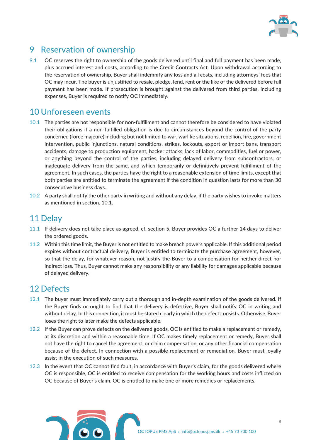

# 9 Reservation of ownership

9.1 OC reserves the right to ownership of the goods delivered until final and full payment has been made, plus accrued interest and costs, according to the Credit Contracts Act. Upon withdrawal according to the reservation of ownership, Buyer shall indemnify any loss and all costs, including attorneys' fees that OC may incur. The buyer is unjustified to resale, pledge, lend, rent or the like of the delivered before full payment has been made. If prosecution is brought against the delivered from third parties, including expenses, Buyer is required to notify OC immediately.

#### 10 Unforeseen events

- 10.1 The parties are not responsible for non-fulfillment and cannot therefore be considered to have violated their obligations if a non-fulfilled obligation is due to circumstances beyond the control of the party concerned (force majeure) including but not limited to war, warlike situations, rebellion, fire, government intervention, public injunctions, natural conditions, strikes, lockouts, export or import bans, transport accidents, damage to production equipment, hacker attacks, lack of labor, commodities, fuel or power, or anything beyond the control of the parties, including delayed delivery from subcontractors, or inadequate delivery from the same, and which temporarily or definitively prevent fulfillment of the agreement. In such cases, the parties have the right to a reasonable extension of time limits, except that both parties are entitled to terminate the agreement if the condition in question lasts for more than 30 consecutive business days.
- 10.2 A party shall notify the other party in writing and without any delay, if the party wishes to invoke matters as mentioned in section. 10.1.

#### 11 Delay

- 11.1 If delivery does not take place as agreed, cf. section 5, Buyer provides OC a further 14 days to deliver the ordered goods.
- 11.2 Within this time limit, the Buyer is not entitled to make breach powers applicable. If this additional period expires without contractual delivery, Buyer is entitled to terminate the purchase agreement, however, so that the delay, for whatever reason, not justify the Buyer to a compensation for neither direct nor indirect loss. Thus, Buyer cannot make any responsibility or any liability for damages applicable because of delayed delivery.

#### 12 Defects

- 12.1 The buyer must immediately carry out a thorough and in-depth examination of the goods delivered. If the Buyer finds or ought to find that the delivery is defective, Buyer shall notify OC in writing and without delay. In this connection, it must be stated clearly in which the defect consists. Otherwise, Buyer loses the right to later make the defects applicable.
- 12.2 If the Buyer can prove defects on the delivered goods, OC is entitled to make a replacement or remedy, at its discretion and within a reasonable time. If OC makes timely replacement or remedy, Buyer shall not have the right to cancel the agreement, or claim compensation, or any other financial compensation because of the defect. In connection with a possible replacement or remediation, Buyer must loyally assist in the execution of such measures.
- 12.3 In the event that OC cannot find fault, in accordance with Buyer's claim, for the goods delivered where OC is responsible, OC is entitled to receive compensation for the working hours and costs inflicted on OC because of Buyer's claim. OC is entitled to make one or more remedies or replacements.

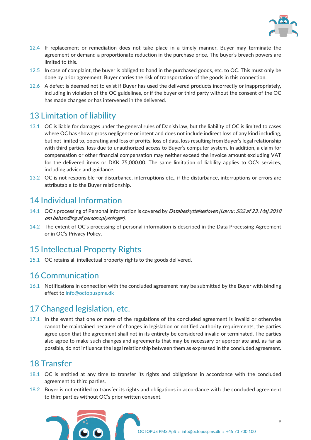

- 12.4 If replacement or remediation does not take place in a timely manner, Buyer may terminate the agreement or demand a proportionate reduction in the purchase price. The buyer's breach powers are limited to this.
- 12.5 In case of complaint, the buyer is obliged to hand in the purchased goods, etc. to OC. This must only be done by prior agreement. Buyer carries the risk of transportation of the goods in this connection.
- 12.6 A defect is deemed not to exist if Buyer has used the delivered products incorrectly or inappropriately, including in violation of the OC guidelines, or if the buyer or third party without the consent of the OC has made changes or has intervened in the delivered.

# 13 Limitation of liability

- 13.1 OC is liable for damages under the general rules of Danish law, but the liability of OC is limited to cases where OC has shown gross negligence or intent and does not include indirect loss of any kind including, but not limited to, operating and loss of profits, loss of data, loss resulting from Buyer's legal relationship with third parties, loss due to unauthorized access to Buyer's computer system. In addition, a claim for compensation or other financial compensation may neither exceed the invoice amount excluding VAT for the delivered items or DKK 75,000.00. The same limitation of liability applies to OC's services, including advice and guidance.
- 13.2 OC is not responsible for disturbance, interruptions etc., if the disturbance, interruptions or errors are attributable to the Buyer relationship.

# 14 Individual Information

- 14.1 OC's processing of Personal Information is covered by Databeskyttelsesloven (Lov nr. 502 af 23. Maj 2018 om behandling af personoplysninger).
- 14.2 The extent of OC's processing of personal information is described in the Data Processing Agreement or in OC's Privacy Policy.

# 15 Intellectual Property Rights

15.1 OC retains all intellectual property rights to the goods delivered.

#### 16 Communication

16.1 Notifications in connection with the concluded agreement may be submitted by the Buyer with binding effect to [info@octopuspms.dk](mailto:info@octopuspms.dk)

#### 17 Changed legislation, etc.

17.1 In the event that one or more of the regulations of the concluded agreement is invalid or otherwise cannot be maintained because of changes in legislation or notified authority requirements, the parties agree upon that the agreement shall not in its entirety be considered invalid or terminated. The parties also agree to make such changes and agreements that may be necessary or appropriate and, as far as possible, do not influence the legal relationship between them as expressed in the concluded agreement.

#### 18 Transfer

- 18.1 OC is entitled at any time to transfer its rights and obligations in accordance with the concluded agreement to third parties.
- 18.2 Buyer is not entitled to transfer its rights and obligations in accordance with the concluded agreement to third parties without OC's prior written consent.